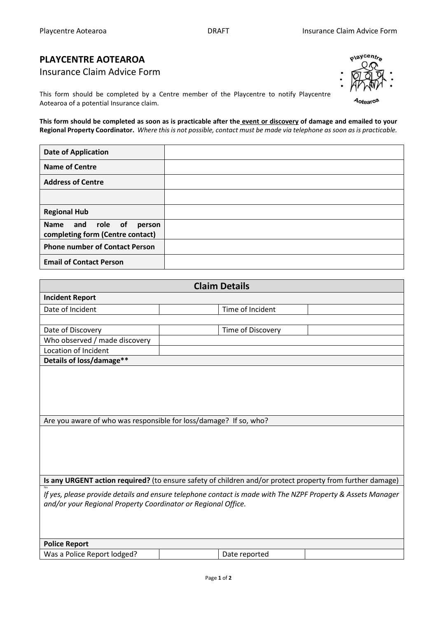## **PLAYCENTRE AOTEAROA**

Insurance Claim Advice Form

This form should be completed by a Centre member of the Playcentre to notify Playcentre Aotearoa of a potential Insurance claim.

**This form should be completed as soon as is practicable after the event or discovery of damage and emailed to your Regional Property Coordinator.** *Where this is not possible, contact must be made via telephone as soon as is practicable.* 

| <b>Date of Application</b>                                     |  |
|----------------------------------------------------------------|--|
| <b>Name of Centre</b>                                          |  |
| <b>Address of Centre</b>                                       |  |
|                                                                |  |
| <b>Regional Hub</b>                                            |  |
| Name and role of<br>person<br>completing form (Centre contact) |  |
| <b>Phone number of Contact Person</b>                          |  |
| <b>Email of Contact Person</b>                                 |  |

| <b>Claim Details</b>                                                                                                                                                         |                   |  |  |  |  |  |  |
|------------------------------------------------------------------------------------------------------------------------------------------------------------------------------|-------------------|--|--|--|--|--|--|
| <b>Incident Report</b>                                                                                                                                                       |                   |  |  |  |  |  |  |
| Date of Incident                                                                                                                                                             | Time of Incident  |  |  |  |  |  |  |
|                                                                                                                                                                              |                   |  |  |  |  |  |  |
| Date of Discovery                                                                                                                                                            | Time of Discovery |  |  |  |  |  |  |
| Who observed / made discovery                                                                                                                                                |                   |  |  |  |  |  |  |
| Location of Incident                                                                                                                                                         |                   |  |  |  |  |  |  |
| Details of loss/damage**                                                                                                                                                     |                   |  |  |  |  |  |  |
| Are you aware of who was responsible for loss/damage? If so, who?                                                                                                            |                   |  |  |  |  |  |  |
| Is any URGENT action required? (to ensure safety of children and/or protect property from further damage)                                                                    |                   |  |  |  |  |  |  |
| If yes, please provide details and ensure telephone contact is made with The NZPF Property & Assets Manager<br>and/or your Regional Property Coordinator or Regional Office. |                   |  |  |  |  |  |  |
| <b>Police Report</b>                                                                                                                                                         |                   |  |  |  |  |  |  |
| Was a Police Report lodged?                                                                                                                                                  | Date reported     |  |  |  |  |  |  |
|                                                                                                                                                                              |                   |  |  |  |  |  |  |